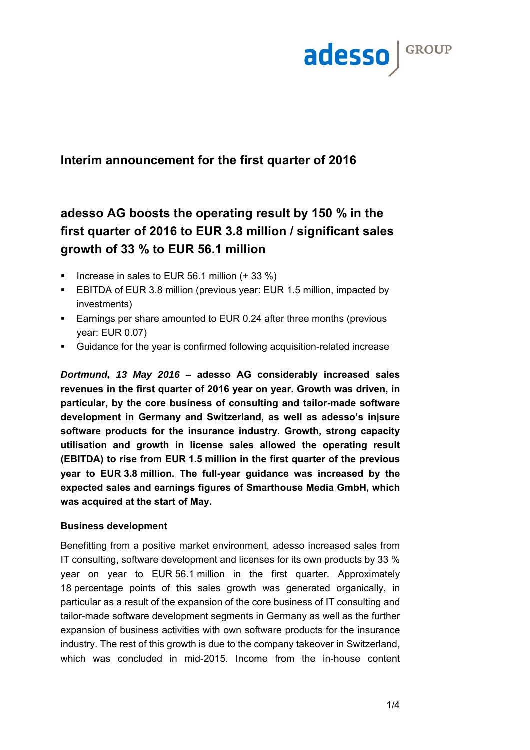

## **Interim announcement for the first quarter of 2016**

# **adesso AG boosts the operating result by 150 % in the first quarter of 2016 to EUR 3.8 million / significant sales growth of 33 % to EUR 56.1 million**

- Increase in sales to EUR 56.1 million (+ 33 %)
- EBITDA of EUR 3.8 million (previous year: EUR 1.5 million, impacted by investments)
- **Earnings per share amounted to EUR 0.24 after three months (previous** year: EUR 0.07)
- Guidance for the year is confirmed following acquisition-related increase

*Dortmund, 13 May 2016* **– adesso AG considerably increased sales revenues in the first quarter of 2016 year on year. Growth was driven, in particular, by the core business of consulting and tailor-made software development in Germany and Switzerland, as well as adesso's in|sure software products for the insurance industry. Growth, strong capacity utilisation and growth in license sales allowed the operating result (EBITDA) to rise from EUR 1.5 million in the first quarter of the previous year to EUR 3.8 million. The full-year guidance was increased by the expected sales and earnings figures of Smarthouse Media GmbH, which was acquired at the start of May.**

### **Business development**

Benefitting from a positive market environment, adesso increased sales from IT consulting, software development and licenses for its own products by 33 % year on year to EUR 56.1 million in the first quarter. Approximately 18 percentage points of this sales growth was generated organically, in particular as a result of the expansion of the core business of IT consulting and tailor-made software development segments in Germany as well as the further expansion of business activities with own software products for the insurance industry. The rest of this growth is due to the company takeover in Switzerland, which was concluded in mid-2015. Income from the in-house content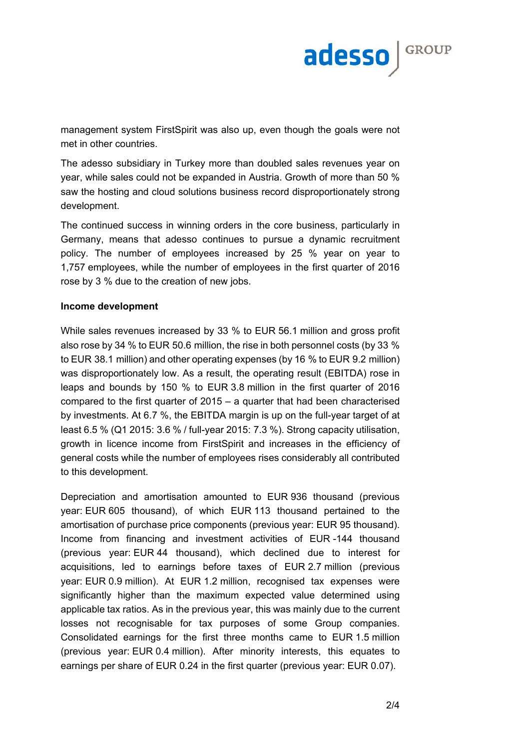

management system FirstSpirit was also up, even though the goals were not met in other countries.

The adesso subsidiary in Turkey more than doubled sales revenues year on year, while sales could not be expanded in Austria. Growth of more than 50 % saw the hosting and cloud solutions business record disproportionately strong development.

The continued success in winning orders in the core business, particularly in Germany, means that adesso continues to pursue a dynamic recruitment policy. The number of employees increased by 25 % year on year to 1,757 employees, while the number of employees in the first quarter of 2016 rose by 3 % due to the creation of new jobs.

#### **Income development**

While sales revenues increased by 33 % to EUR 56.1 million and gross profit also rose by 34 % to EUR 50.6 million, the rise in both personnel costs (by 33 % to EUR 38.1 million) and other operating expenses (by 16 % to EUR 9.2 million) was disproportionately low. As a result, the operating result (EBITDA) rose in leaps and bounds by 150 % to EUR 3.8 million in the first quarter of 2016 compared to the first quarter of 2015 – a quarter that had been characterised by investments. At 6.7 %, the EBITDA margin is up on the full-year target of at least 6.5 % (Q1 2015: 3.6 % / full-year 2015: 7.3 %). Strong capacity utilisation, growth in licence income from FirstSpirit and increases in the efficiency of general costs while the number of employees rises considerably all contributed to this development.

Depreciation and amortisation amounted to EUR 936 thousand (previous year: EUR 605 thousand), of which EUR 113 thousand pertained to the amortisation of purchase price components (previous year: EUR 95 thousand). Income from financing and investment activities of EUR -144 thousand (previous year: EUR 44 thousand), which declined due to interest for acquisitions, led to earnings before taxes of EUR 2.7 million (previous year: EUR 0.9 million). At EUR 1.2 million, recognised tax expenses were significantly higher than the maximum expected value determined using applicable tax ratios. As in the previous year, this was mainly due to the current losses not recognisable for tax purposes of some Group companies. Consolidated earnings for the first three months came to EUR 1.5 million (previous year: EUR 0.4 million). After minority interests, this equates to earnings per share of EUR 0.24 in the first quarter (previous year: EUR 0.07).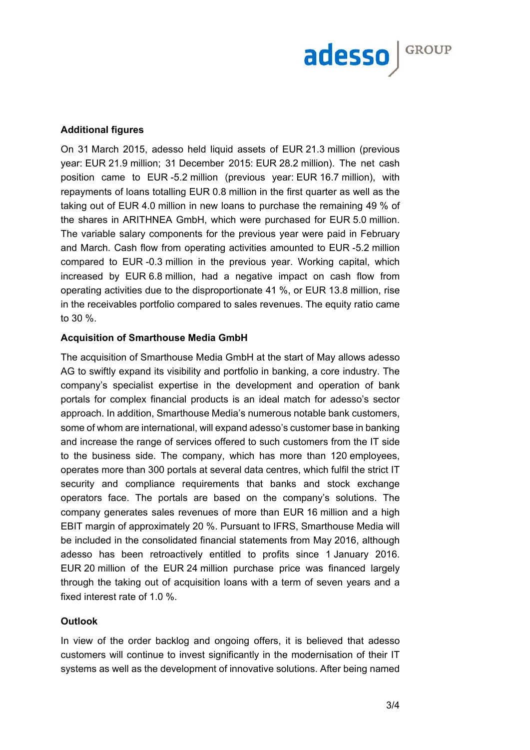

#### **Additional figures**

On 31 March 2015, adesso held liquid assets of EUR 21.3 million (previous year: EUR 21.9 million; 31 December 2015: EUR 28.2 million). The net cash position came to EUR -5.2 million (previous year: EUR 16.7 million), with repayments of loans totalling EUR 0.8 million in the first quarter as well as the taking out of EUR 4.0 million in new loans to purchase the remaining 49 % of the shares in ARITHNEA GmbH, which were purchased for EUR 5.0 million. The variable salary components for the previous year were paid in February and March. Cash flow from operating activities amounted to EUR -5.2 million compared to EUR -0.3 million in the previous year. Working capital, which increased by EUR 6.8 million, had a negative impact on cash flow from operating activities due to the disproportionate 41 %, or EUR 13.8 million, rise in the receivables portfolio compared to sales revenues. The equity ratio came to 30 %.

#### **Acquisition of Smarthouse Media GmbH**

The acquisition of Smarthouse Media GmbH at the start of May allows adesso AG to swiftly expand its visibility and portfolio in banking, a core industry. The company's specialist expertise in the development and operation of bank portals for complex financial products is an ideal match for adesso's sector approach. In addition, Smarthouse Media's numerous notable bank customers, some of whom are international, will expand adesso's customer base in banking and increase the range of services offered to such customers from the IT side to the business side. The company, which has more than 120 employees, operates more than 300 portals at several data centres, which fulfil the strict IT security and compliance requirements that banks and stock exchange operators face. The portals are based on the company's solutions. The company generates sales revenues of more than EUR 16 million and a high EBIT margin of approximately 20 %. Pursuant to IFRS, Smarthouse Media will be included in the consolidated financial statements from May 2016, although adesso has been retroactively entitled to profits since 1 January 2016. EUR 20 million of the EUR 24 million purchase price was financed largely through the taking out of acquisition loans with a term of seven years and a fixed interest rate of 1.0 %.

#### **Outlook**

In view of the order backlog and ongoing offers, it is believed that adesso customers will continue to invest significantly in the modernisation of their IT systems as well as the development of innovative solutions. After being named